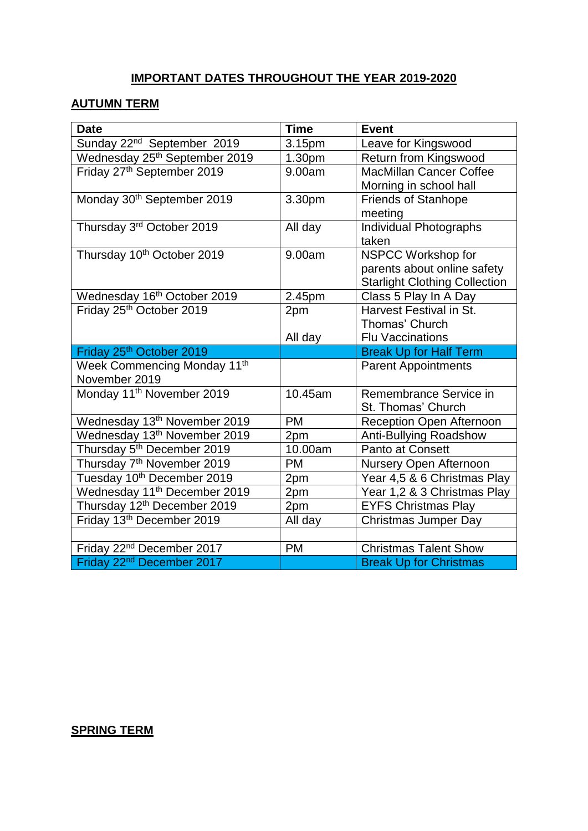## **IMPORTANT DATES THROUGHOUT THE YEAR 2019-2020**

## **AUTUMN TERM**

| <b>Date</b>                                                                    | <b>Time</b> | <b>Event</b>                         |
|--------------------------------------------------------------------------------|-------------|--------------------------------------|
| Sunday 22 <sup>nd</sup> September 2019                                         | 3.15pm      | Leave for Kingswood                  |
| Wednesday 25 <sup>th</sup> September 2019                                      | 1.30pm      | Return from Kingswood                |
| Friday 27th September 2019                                                     | 9.00am      | <b>MacMillan Cancer Coffee</b>       |
|                                                                                |             | Morning in school hall               |
| Monday 30th September 2019                                                     | 3.30pm      | <b>Friends of Stanhope</b>           |
|                                                                                |             | meeting                              |
| Thursday 3rd October 2019                                                      | All day     | Individual Photographs               |
|                                                                                |             | taken                                |
| Thursday 10th October 2019                                                     | 9.00am      | NSPCC Workshop for                   |
|                                                                                |             | parents about online safety          |
|                                                                                |             | <b>Starlight Clothing Collection</b> |
| Wednesday 16 <sup>th</sup> October 2019                                        | 2.45pm      | Class 5 Play In A Day                |
| Friday 25th October 2019                                                       | 2pm         | Harvest Festival in St.              |
|                                                                                |             | Thomas' Church                       |
|                                                                                | All day     | <b>Flu Vaccinations</b>              |
|                                                                                |             |                                      |
| Friday 25th October 2019                                                       |             | <b>Break Up for Half Term</b>        |
| Week Commencing Monday 11 <sup>th</sup>                                        |             | <b>Parent Appointments</b>           |
| November 2019                                                                  |             |                                      |
| Monday 11 <sup>th</sup> November 2019                                          | 10.45am     | Remembrance Service in               |
|                                                                                |             | St. Thomas' Church                   |
| Wednesday 13 <sup>th</sup> November 2019                                       | <b>PM</b>   | Reception Open Afternoon             |
| Wednesday 13th November 2019                                                   | 2pm         | Anti-Bullying Roadshow               |
| Thursday 5 <sup>th</sup> December 2019                                         | 10.00am     | Panto at Consett                     |
| Thursday 7 <sup>th</sup> November 2019                                         | <b>PM</b>   | Nursery Open Afternoon               |
| Tuesday 10th December 2019                                                     | 2pm         | Year 4,5 & 6 Christmas Play          |
| Wednesday 11 <sup>th</sup> December 2019                                       | 2pm         | Year 1,2 & 3 Christmas Play          |
| Thursday 12 <sup>th</sup> December 2019                                        | 2pm         | <b>EYFS Christmas Play</b>           |
| Friday 13 <sup>th</sup> December 2019                                          | All day     | <b>Christmas Jumper Day</b>          |
|                                                                                |             |                                      |
| Friday 22 <sup>nd</sup> December 2017<br>Friday 22 <sup>nd</sup> December 2017 | PM          | <b>Christmas Talent Show</b>         |

## **SPRING TERM**